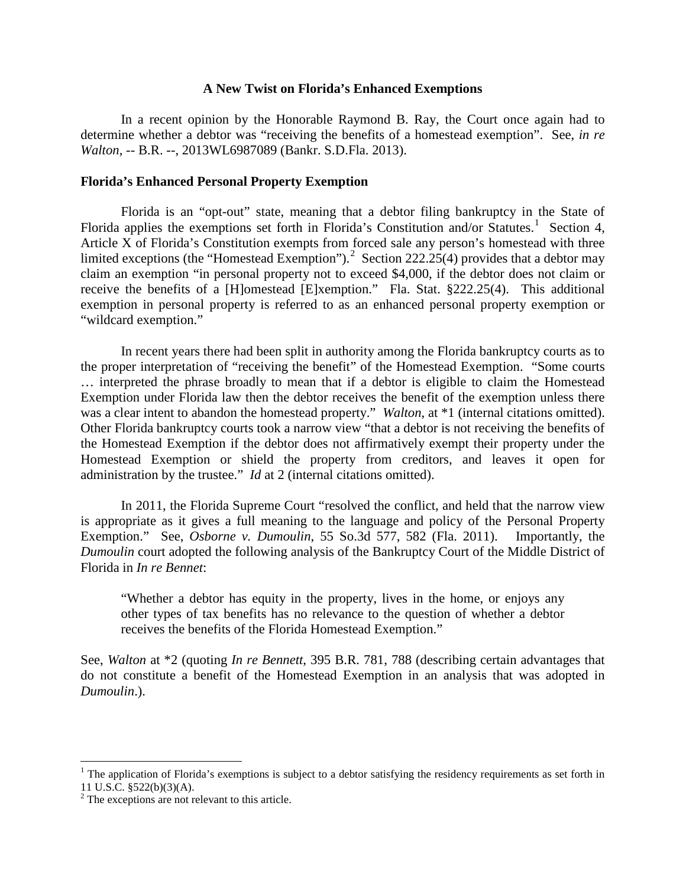### **A New Twist on Florida's Enhanced Exemptions**

In a recent opinion by the Honorable Raymond B. Ray, the Court once again had to determine whether a debtor was "receiving the benefits of a homestead exemption". See, *in re Walton*, -- B.R. --, 2013WL6987089 (Bankr. S.D.Fla. 2013).

### **Florida's Enhanced Personal Property Exemption**

Florida is an "opt-out" state, meaning that a debtor filing bankruptcy in the State of Florida applies the exemptions set forth in Florida's Constitution and/or Statutes.<sup>[1](#page-0-0)</sup> Section 4, Article X of Florida's Constitution exempts from forced sale any person's homestead with three limited exceptions (the "Homestead Exemption").<sup>[2](#page-0-1)</sup> Section 222.25(4) provides that a debtor may claim an exemption "in personal property not to exceed \$4,000, if the debtor does not claim or receive the benefits of a [H]omestead [E]xemption." Fla. Stat. §222.25(4). This additional exemption in personal property is referred to as an enhanced personal property exemption or "wildcard exemption."

In recent years there had been split in authority among the Florida bankruptcy courts as to the proper interpretation of "receiving the benefit" of the Homestead Exemption. "Some courts … interpreted the phrase broadly to mean that if a debtor is eligible to claim the Homestead Exemption under Florida law then the debtor receives the benefit of the exemption unless there was a clear intent to abandon the homestead property." *Walton*, at \*1 (internal citations omitted). Other Florida bankruptcy courts took a narrow view "that a debtor is not receiving the benefits of the Homestead Exemption if the debtor does not affirmatively exempt their property under the Homestead Exemption or shield the property from creditors, and leaves it open for administration by the trustee." *Id* at 2 (internal citations omitted).

In 2011, the Florida Supreme Court "resolved the conflict, and held that the narrow view is appropriate as it gives a full meaning to the language and policy of the Personal Property Exemption." See, *Osborne v. Dumoulin*, 55 So.3d 577, 582 (Fla. 2011). Importantly, the *Dumoulin* court adopted the following analysis of the Bankruptcy Court of the Middle District of Florida in *In re Bennet*:

"Whether a debtor has equity in the property, lives in the home, or enjoys any other types of tax benefits has no relevance to the question of whether a debtor receives the benefits of the Florida Homestead Exemption."

See, *Walton* at \*2 (quoting *In re Bennett*, 395 B.R. 781, 788 (describing certain advantages that do not constitute a benefit of the Homestead Exemption in an analysis that was adopted in *Dumoulin*.).

<span id="page-0-0"></span><sup>&</sup>lt;sup>1</sup> The application of Florida's exemptions is subject to a debtor satisfying the residency requirements as set forth in 11 U.S.C.  $$522(b)(3)(A)$ .

<span id="page-0-1"></span> $1<sup>2</sup>$  The exceptions are not relevant to this article.